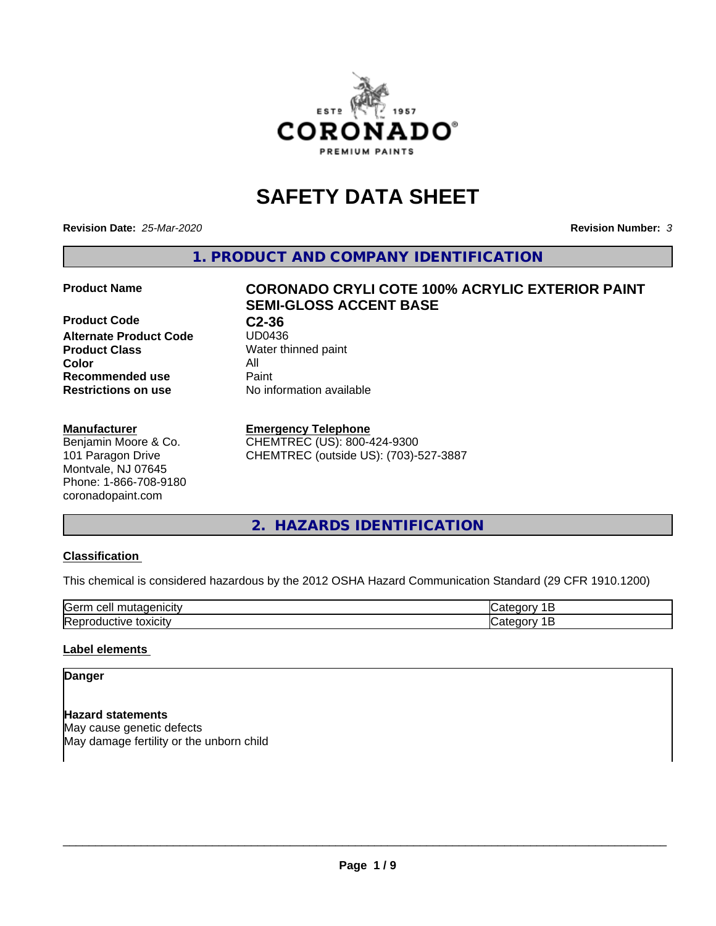

# **SAFETY DATA SHEET**

**Revision Date:** *25-Mar-2020* **Revision Number:** *3*

**1. PRODUCT AND COMPANY IDENTIFICATION**

**Product Code C2-36**<br>Alternate Product Code UD0436 **Alternate Product Code Product Class** Water thinned paint<br> **Color** All **Color** All **Recommended use Caint Restrictions on use** No information available

#### **Manufacturer**

Benjamin Moore & Co. 101 Paragon Drive Montvale, NJ 07645 Phone: 1-866-708-9180 coronadopaint.com

# **Product Name CORONADO CRYLI COTE 100% ACRYLIC EXTERIOR PAINT SEMI-GLOSS ACCENT BASE**

#### **Emergency Telephone**

CHEMTREC (US): 800-424-9300 CHEMTREC (outside US): (703)-527-3887

# **2. HAZARDS IDENTIFICATION**

#### **Classification**

This chemical is considered hazardous by the 2012 OSHA Hazard Communication Standard (29 CFR 1910.1200)

| $\sim$ $\sim$<br>---<br>kae:<br>$\cdot$ |  |
|-----------------------------------------|--|
| <b>Re</b><br>$-$<br>. X II              |  |

#### **Label elements**

# **Danger**

**Hazard statements** May cause genetic defects May damage fertility or the unborn child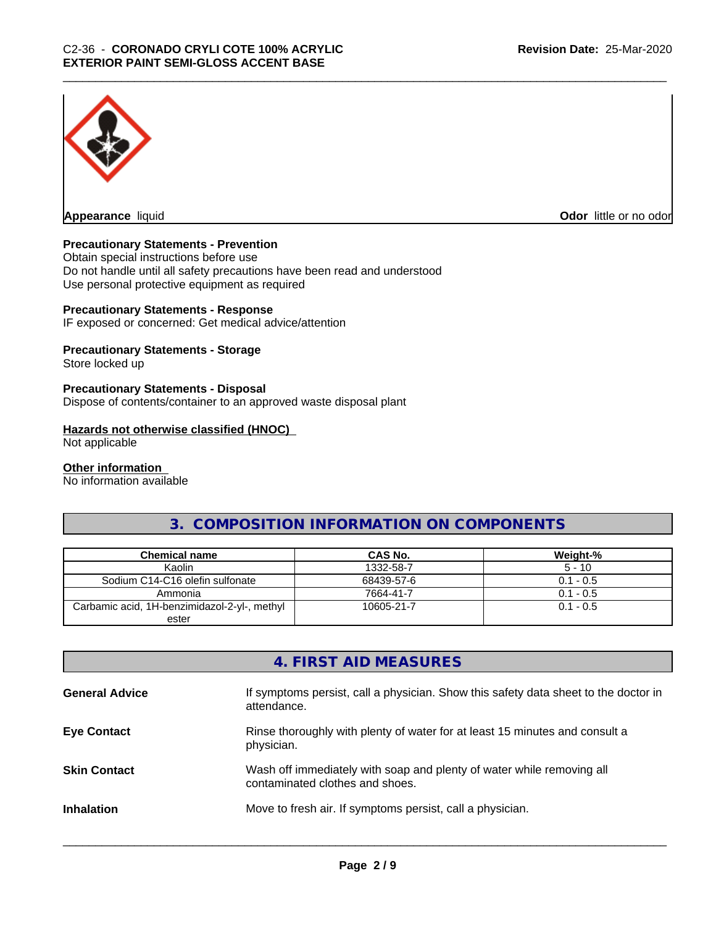

**Appearance** liquid **Odor in the original of the original of the original of the original of the original of the original of the original of the original of the original of the original of the original of the original of t** 

#### **Precautionary Statements - Prevention**

Obtain special instructions before use Do not handle until all safety precautions have been read and understood Use personal protective equipment as required

#### **Precautionary Statements - Response**

IF exposed or concerned: Get medical advice/attention

#### **Precautionary Statements - Storage**

Store locked up

#### **Precautionary Statements - Disposal**

Dispose of contents/container to an approved waste disposal plant

#### **Hazards not otherwise classified (HNOC)**

Not applicable

#### **Other information**

No information available

# **3. COMPOSITION INFORMATION ON COMPONENTS**

| <b>Chemical name</b>                         | CAS No.    | Weight-%    |
|----------------------------------------------|------------|-------------|
| Kaolin                                       | 1332-58-7  | $5 - 10$    |
| Sodium C14-C16 olefin sulfonate              | 68439-57-6 | $0.1 - 0.5$ |
| Ammonia                                      | 7664-41-7  | $0.1 - 0.5$ |
| Carbamic acid, 1H-benzimidazol-2-yl-, methyl | 10605-21-7 | $0.1 - 0.5$ |
| ester                                        |            |             |

|                       | 4. FIRST AID MEASURES                                                                                    |
|-----------------------|----------------------------------------------------------------------------------------------------------|
| <b>General Advice</b> | If symptoms persist, call a physician. Show this safety data sheet to the doctor in<br>attendance.       |
| <b>Eye Contact</b>    | Rinse thoroughly with plenty of water for at least 15 minutes and consult a<br>physician.                |
| <b>Skin Contact</b>   | Wash off immediately with soap and plenty of water while removing all<br>contaminated clothes and shoes. |
| <b>Inhalation</b>     | Move to fresh air. If symptoms persist, call a physician.                                                |
|                       |                                                                                                          |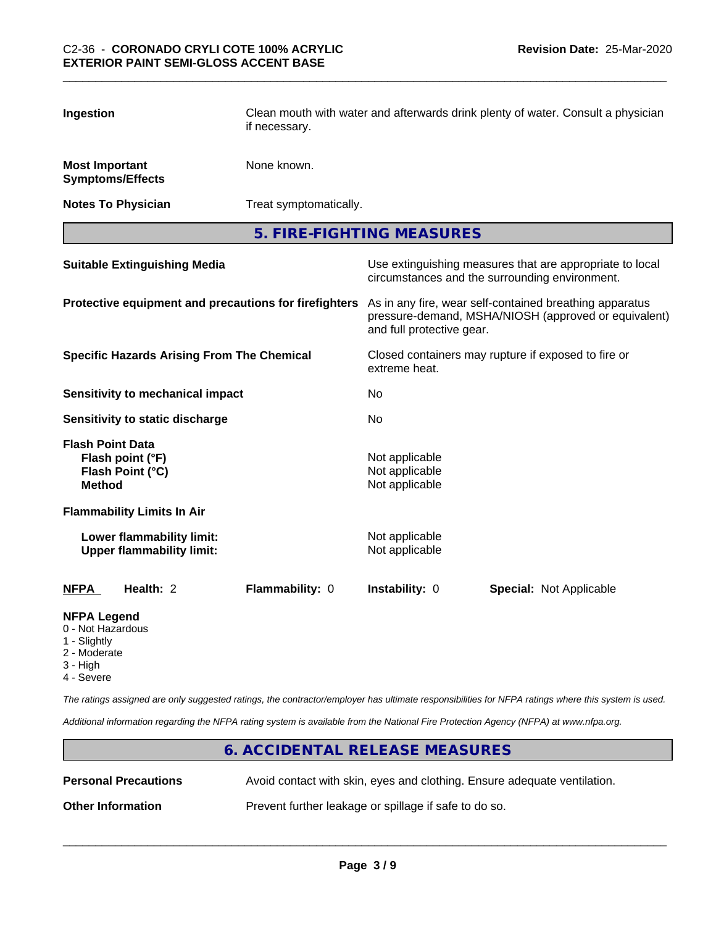| Ingestion                                                                        | if necessary.                                         | Clean mouth with water and afterwards drink plenty of water. Consult a physician                                                             |                                |  |
|----------------------------------------------------------------------------------|-------------------------------------------------------|----------------------------------------------------------------------------------------------------------------------------------------------|--------------------------------|--|
| <b>Most Important</b><br><b>Symptoms/Effects</b>                                 | None known.                                           |                                                                                                                                              |                                |  |
| <b>Notes To Physician</b>                                                        | Treat symptomatically.                                |                                                                                                                                              |                                |  |
|                                                                                  |                                                       | 5. FIRE-FIGHTING MEASURES                                                                                                                    |                                |  |
| <b>Suitable Extinguishing Media</b>                                              |                                                       | Use extinguishing measures that are appropriate to local<br>circumstances and the surrounding environment.                                   |                                |  |
|                                                                                  | Protective equipment and precautions for firefighters | As in any fire, wear self-contained breathing apparatus<br>pressure-demand, MSHA/NIOSH (approved or equivalent)<br>and full protective gear. |                                |  |
| <b>Specific Hazards Arising From The Chemical</b>                                |                                                       | Closed containers may rupture if exposed to fire or<br>extreme heat.                                                                         |                                |  |
| <b>Sensitivity to mechanical impact</b>                                          |                                                       | No                                                                                                                                           |                                |  |
| Sensitivity to static discharge                                                  |                                                       | No                                                                                                                                           |                                |  |
| <b>Flash Point Data</b><br>Flash point (°F)<br>Flash Point (°C)<br><b>Method</b> |                                                       | Not applicable<br>Not applicable<br>Not applicable                                                                                           |                                |  |
| <b>Flammability Limits In Air</b>                                                |                                                       |                                                                                                                                              |                                |  |
| Lower flammability limit:<br><b>Upper flammability limit:</b>                    |                                                       | Not applicable<br>Not applicable                                                                                                             |                                |  |
| Health: 2<br><b>NFPA</b>                                                         | Flammability: 0                                       | Instability: 0                                                                                                                               | <b>Special: Not Applicable</b> |  |
| <b>NFPA Legend</b>                                                               |                                                       |                                                                                                                                              |                                |  |

- 0 Not Hazardous
- 1 Slightly
- 2 Moderate
- 3 High
- 4 Severe

*The ratings assigned are only suggested ratings, the contractor/employer has ultimate responsibilities for NFPA ratings where this system is used.*

*Additional information regarding the NFPA rating system is available from the National Fire Protection Agency (NFPA) at www.nfpa.org.*

# **6. ACCIDENTAL RELEASE MEASURES Personal Precautions** Avoid contact with skin, eyes and clothing. Ensure adequate ventilation. **Other Information** Prevent further leakage or spillage if safe to do so.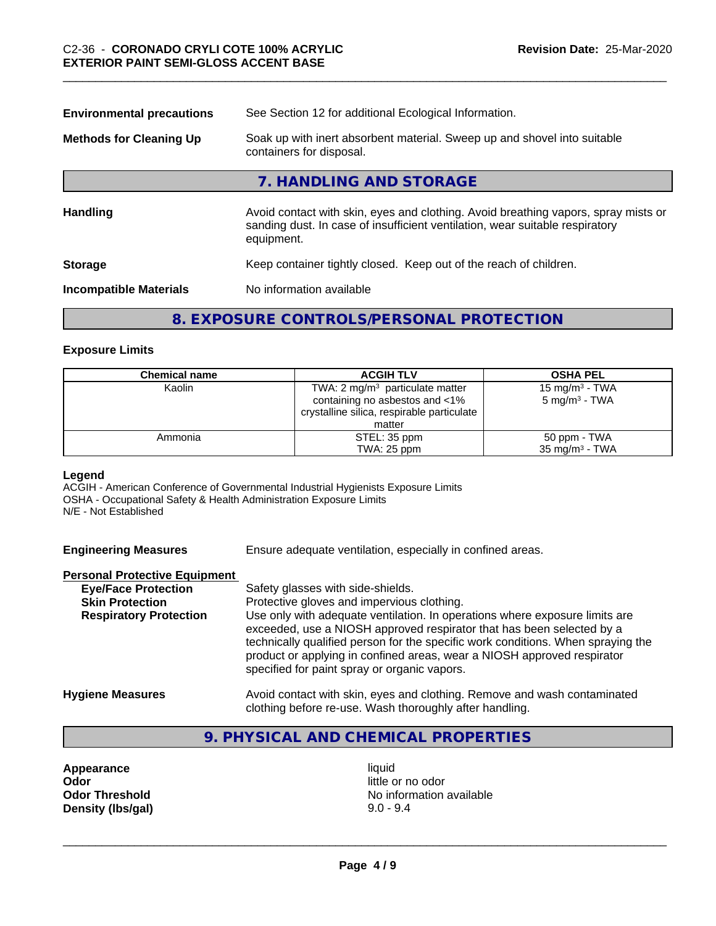| <b>Environmental precautions</b> | See Section 12 for additional Ecological Information.                                                                                                                            |
|----------------------------------|----------------------------------------------------------------------------------------------------------------------------------------------------------------------------------|
| <b>Methods for Cleaning Up</b>   | Soak up with inert absorbent material. Sweep up and shovel into suitable<br>containers for disposal.                                                                             |
|                                  | 7. HANDLING AND STORAGE                                                                                                                                                          |
| Handling                         | Avoid contact with skin, eyes and clothing. Avoid breathing vapors, spray mists or<br>sanding dust. In case of insufficient ventilation, wear suitable respiratory<br>equipment. |
| <b>Storage</b>                   | Keep container tightly closed. Keep out of the reach of children.                                                                                                                |
| <b>Incompatible Materials</b>    | No information available                                                                                                                                                         |
|                                  |                                                                                                                                                                                  |

# **8. EXPOSURE CONTROLS/PERSONAL PROTECTION**

#### **Exposure Limits**

| <b>Chemical name</b> | <b>ACGIH TLV</b>                           | <b>OSHA PEL</b>           |
|----------------------|--------------------------------------------|---------------------------|
| Kaolin               | TWA: 2 $mg/m3$ particulate matter          | 15 mg/m $3$ - TWA         |
|                      | containing no asbestos and <1%             | $5 \text{ mg/m}^3$ - TWA  |
|                      | crystalline silica, respirable particulate |                           |
|                      | matter                                     |                           |
| Ammonia              | STEL: 35 ppm                               | 50 ppm - TWA              |
|                      | TWA: 25 ppm                                | $35 \text{ mg/m}^3$ - TWA |

#### **Legend**

ACGIH - American Conference of Governmental Industrial Hygienists Exposure Limits OSHA - Occupational Safety & Health Administration Exposure Limits N/E - Not Established

| <b>Engineering Measures</b> | Ensure adequate ventilation, especially in confined areas. |
|-----------------------------|------------------------------------------------------------|
|                             |                                                            |

#### **Personal Protective Equipment**

| <b>Eye/Face Protection</b>    | Safety glasses with side-shields.                                                                                                                                                                                                                                                                                                                                   |
|-------------------------------|---------------------------------------------------------------------------------------------------------------------------------------------------------------------------------------------------------------------------------------------------------------------------------------------------------------------------------------------------------------------|
| <b>Skin Protection</b>        | Protective gloves and impervious clothing.                                                                                                                                                                                                                                                                                                                          |
| <b>Respiratory Protection</b> | Use only with adequate ventilation. In operations where exposure limits are<br>exceeded, use a NIOSH approved respirator that has been selected by a<br>technically qualified person for the specific work conditions. When spraying the<br>product or applying in confined areas, wear a NIOSH approved respirator<br>specified for paint spray or organic vapors. |
| Hydiano Moncuros              | Avoid contact with skin, eves and clothing. Remove and wash contaminated                                                                                                                                                                                                                                                                                            |

#### **Hygiene Measures** Avoid contact with skin, eyes and clothing. Remove and wash contaminated clothing before re-use. Wash thoroughly after handling.

# **9. PHYSICAL AND CHEMICAL PROPERTIES**

**Appearance** liquid **Odor**<br> **Odor Threshold**<br> **Odor Threshold CODOR CODOR CODOR CODOR CODOR CODOR CODOR CODOR CODOR CODOR CODOR CODOR Density (lbs/gal)** 

**No information available**<br>9.0 - 9.4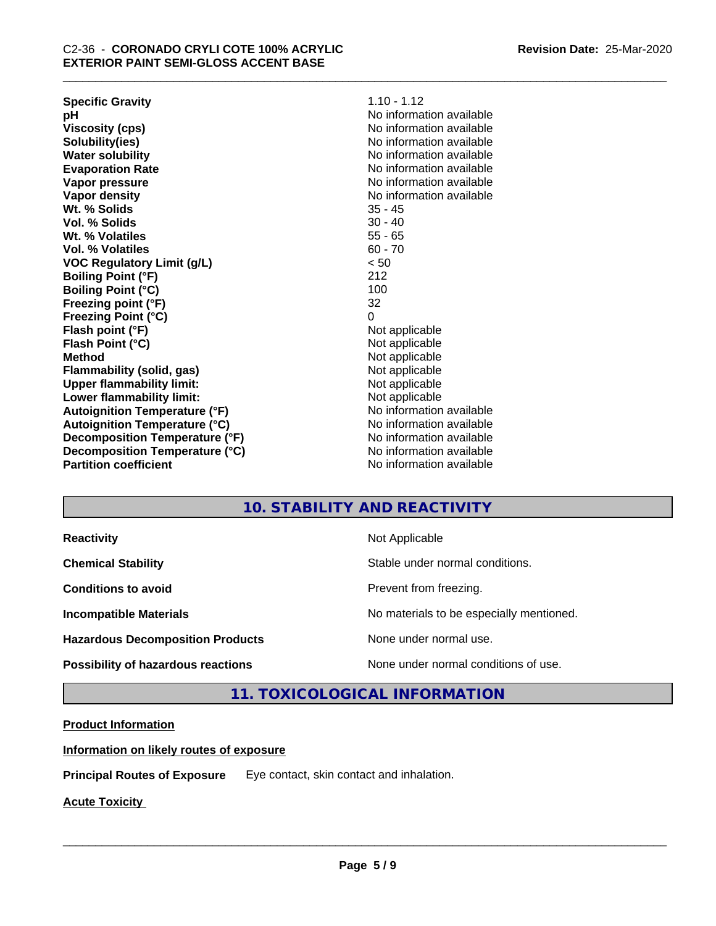| <b>Specific Gravity</b>              | $1.10 - 1.12$            |
|--------------------------------------|--------------------------|
| рH                                   | No information available |
| <b>Viscosity (cps)</b>               | No information available |
| Solubility(ies)                      | No information available |
| <b>Water solubility</b>              | No information available |
| <b>Evaporation Rate</b>              | No information available |
| Vapor pressure                       | No information available |
| Vapor density                        | No information available |
| Wt. % Solids                         | $35 - 45$                |
| <b>Vol. % Solids</b>                 | $30 - 40$                |
| Wt. % Volatiles                      | $55 - 65$                |
| Vol. % Volatiles                     | $60 - 70$                |
| <b>VOC Regulatory Limit (g/L)</b>    | < 50                     |
| <b>Boiling Point (°F)</b>            | 212                      |
| <b>Boiling Point (°C)</b>            | 100                      |
| Freezing point (°F)                  | 32                       |
| Freezing Point (°C)                  | 0                        |
| Flash point (°F)                     | Not applicable           |
| Flash Point (°C)                     | Not applicable           |
| <b>Method</b>                        | Not applicable           |
| Flammability (solid, gas)            | Not applicable           |
| <b>Upper flammability limit:</b>     | Not applicable           |
| Lower flammability limit:            | Not applicable           |
| <b>Autoignition Temperature (°F)</b> | No information available |
| <b>Autoignition Temperature (°C)</b> | No information available |
| Decomposition Temperature (°F)       | No information available |
| Decomposition Temperature (°C)       | No information available |
| <b>Partition coefficient</b>         | No information available |
|                                      |                          |

#### **10. STABILITY AND REACTIVITY**

**Hazardous Decomposition Products** None under normal use.

**Reactivity Not Applicable** Not Applicable

**Chemical Stability Chemical Stability** Stable under normal conditions.

**Conditions to avoid Conditions to avoid Prevent from freezing.** 

**Incompatible Materials No materials** No materials to be especially mentioned.

 $\overline{\phantom{a}}$  ,  $\overline{\phantom{a}}$  ,  $\overline{\phantom{a}}$  ,  $\overline{\phantom{a}}$  ,  $\overline{\phantom{a}}$  ,  $\overline{\phantom{a}}$  ,  $\overline{\phantom{a}}$  ,  $\overline{\phantom{a}}$  ,  $\overline{\phantom{a}}$  ,  $\overline{\phantom{a}}$  ,  $\overline{\phantom{a}}$  ,  $\overline{\phantom{a}}$  ,  $\overline{\phantom{a}}$  ,  $\overline{\phantom{a}}$  ,  $\overline{\phantom{a}}$  ,  $\overline{\phantom{a}}$ 

**Possibility of hazardous reactions** None under normal conditions of use.

**11. TOXICOLOGICAL INFORMATION**

#### **Product Information**

**Information on likely routes of exposure**

**Principal Routes of Exposure** Eye contact, skin contact and inhalation.

**Acute Toxicity**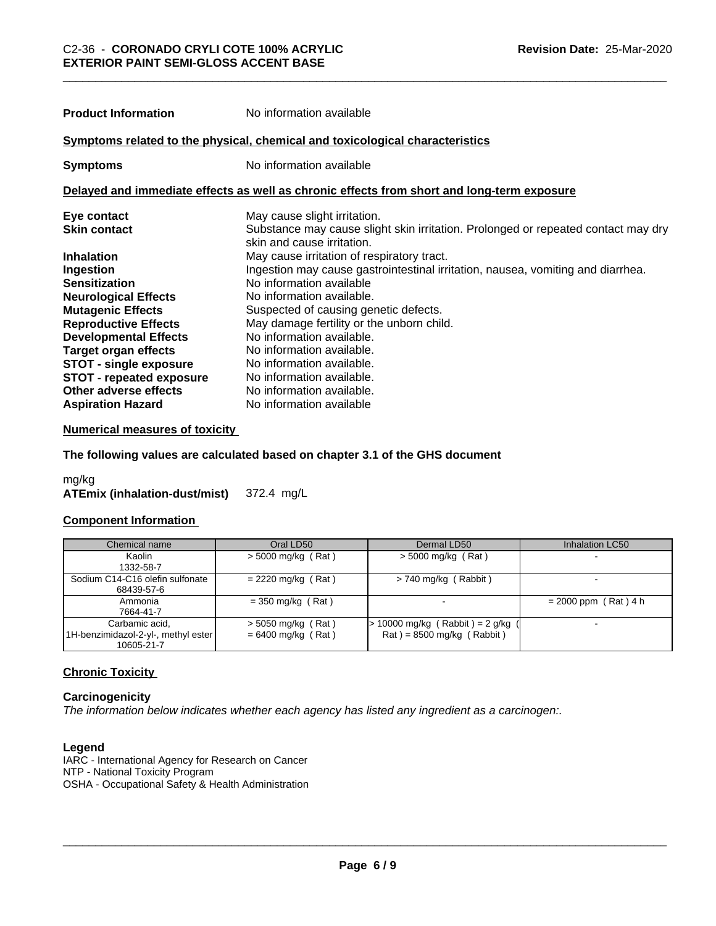| <b>Product Information</b>  | No information available                                                                                        |
|-----------------------------|-----------------------------------------------------------------------------------------------------------------|
|                             | Symptoms related to the physical, chemical and toxicological characteristics                                    |
| <b>Symptoms</b>             | No information available                                                                                        |
|                             | Delayed and immediate effects as well as chronic effects from short and long-term exposure                      |
| Eye contact                 | May cause slight irritation.                                                                                    |
| <b>Skin contact</b>         | Substance may cause slight skin irritation. Prolonged or repeated contact may dry<br>skin and cause irritation. |
| <b>Inhalation</b>           | May cause irritation of respiratory tract.                                                                      |
| Ingestion                   | Ingestion may cause gastrointestinal irritation, nausea, vomiting and diarrhea.                                 |
| <b>Sensitization</b>        | No information available                                                                                        |
| <b>Neurological Effects</b> | No information available.                                                                                       |

# **Mutagenic Effects**<br> **Reproductive Effects**<br>
May damage fertility or the unborn chil May damage fertility or the unborn child. **Developmental Effects** No information available.<br> **Target organ effects** No information available. **Target organ effects** No information available.<br> **STOT - single exposure** No information available. **STOT** - single exposure **STOT - repeated exposure** No information available.<br> **Other adverse effects** No information available. **Other adverse effects<br>Aspiration Hazard No information available**

#### **Numerical measures of toxicity**

#### **The following values are calculated based on chapter 3.1 of the GHS document**

mg/kg **ATEmix (inhalation-dust/mist)** 372.4 mg/L

#### **Component Information**

| Chemical name                                                       | Oral LD50                                    | Dermal LD50                                                        | Inhalation LC50        |
|---------------------------------------------------------------------|----------------------------------------------|--------------------------------------------------------------------|------------------------|
| Kaolin<br>1332-58-7                                                 | $>$ 5000 mg/kg (Rat)                         | $>$ 5000 mg/kg (Rat)                                               |                        |
| Sodium C14-C16 olefin sulfonate<br>68439-57-6                       | $= 2220$ mg/kg (Rat)                         | $> 740$ mg/kg (Rabbit)                                             |                        |
| Ammonia<br>7664-41-7                                                | $=$ 350 mg/kg (Rat)                          |                                                                    | $= 2000$ ppm (Rat) 4 h |
| Carbamic acid,<br>1H-benzimidazol-2-yl-, methyl ester<br>10605-21-7 | $>$ 5050 mg/kg (Rat)<br>$= 6400$ mg/kg (Rat) | $> 10000$ mg/kg (Rabbit) = 2 g/kg (<br>$Rat$ = 8500 mg/kg (Rabbit) |                        |

#### **Chronic Toxicity**

#### **Carcinogenicity**

*The information below indicateswhether each agency has listed any ingredient as a carcinogen:.*

#### **Legend**

IARC - International Agency for Research on Cancer NTP - National Toxicity Program OSHA - Occupational Safety & Health Administration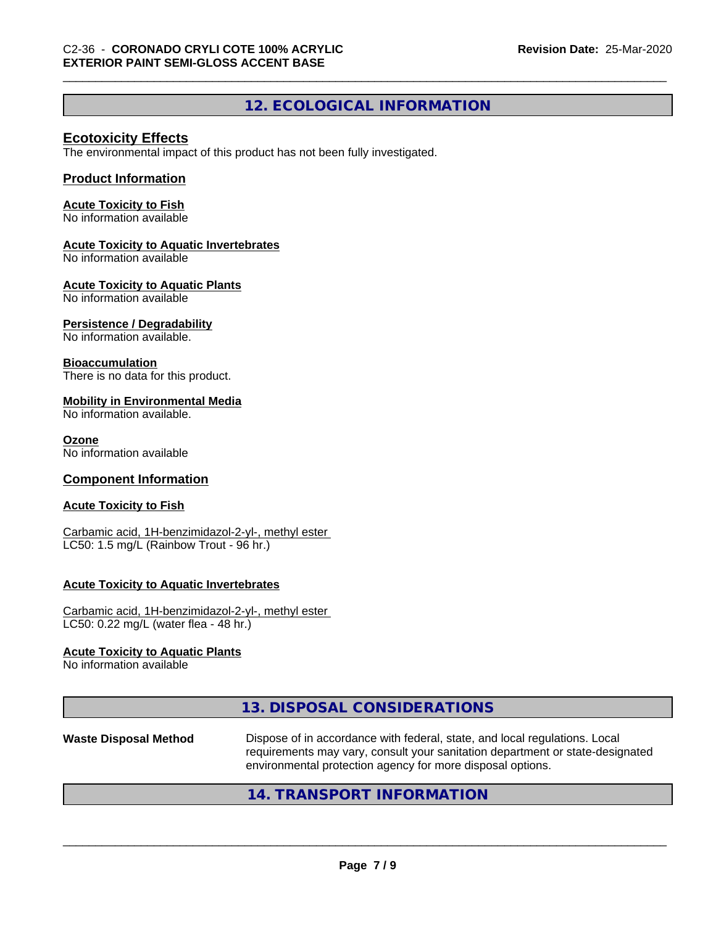# **12. ECOLOGICAL INFORMATION**

## **Ecotoxicity Effects**

The environmental impact of this product has not been fully investigated.

#### **Product Information**

#### **Acute Toxicity to Fish**

No information available

#### **Acute Toxicity to Aquatic Invertebrates**

No information available

#### **Acute Toxicity to Aquatic Plants**

No information available

#### **Persistence / Degradability**

No information available.

#### **Bioaccumulation**

There is no data for this product.

#### **Mobility in Environmental Media**

No information available.

#### **Ozone**

No information available

#### **Component Information**

#### **Acute Toxicity to Fish**

Carbamic acid, 1H-benzimidazol-2-yl-, methyl ester LC50: 1.5 mg/L (Rainbow Trout - 96 hr.)

#### **Acute Toxicity to Aquatic Invertebrates**

Carbamic acid, 1H-benzimidazol-2-yl-, methyl ester LC50: 0.22 mg/L (water flea - 48 hr.)

#### **Acute Toxicity to Aquatic Plants**

No information available

|--|

#### **Waste Disposal Method** Dispose of in accordance with federal, state, and local regulations. Local requirements may vary, consult your sanitation department or state-designated environmental protection agency for more disposal options.

# **14. TRANSPORT INFORMATION**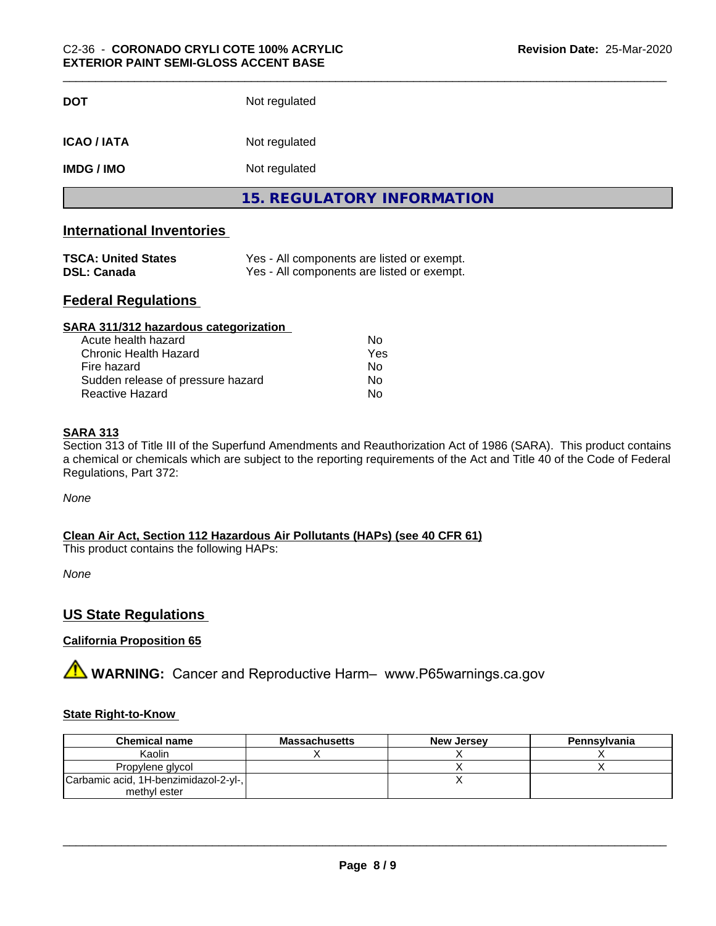| <b>DOT</b>         | Not regulated                     |
|--------------------|-----------------------------------|
| <b>ICAO / IATA</b> | Not regulated                     |
| <b>IMDG / IMO</b>  | Not regulated                     |
|                    | <b>15. REGULATORY INFORMATION</b> |

# **International Inventories**

| <b>TSCA: United States</b> | Yes - All components are listed or exempt. |
|----------------------------|--------------------------------------------|
| DSL: Canada                | Yes - All components are listed or exempt. |

## **Federal Regulations**

| SARA 311/312 hazardous categorization |     |  |
|---------------------------------------|-----|--|
| Acute health hazard                   | Nο  |  |
| Chronic Health Hazard                 | Yes |  |
| Fire hazard                           | Nο  |  |
| Sudden release of pressure hazard     | No  |  |
| Reactive Hazard                       | No  |  |

### **SARA 313**

Section 313 of Title III of the Superfund Amendments and Reauthorization Act of 1986 (SARA). This product contains a chemical or chemicals which are subject to the reporting requirements of the Act and Title 40 of the Code of Federal Regulations, Part 372:

*None*

**Clean Air Act,Section 112 Hazardous Air Pollutants (HAPs) (see 40 CFR 61)**

This product contains the following HAPs:

*None*

# **US State Regulations**

#### **California Proposition 65**

**A WARNING:** Cancer and Reproductive Harm– www.P65warnings.ca.gov

#### **State Right-to-Know**

| <b>Chemical name</b>                  | <b>Massachusetts</b> | <b>New Jersey</b> | Pennsylvania |
|---------------------------------------|----------------------|-------------------|--------------|
| Kaolin                                |                      |                   |              |
| Propylene glycol                      |                      |                   |              |
| Carbamic acid, 1H-benzimidazol-2-yl-, |                      |                   |              |
| methyl ester                          |                      |                   |              |